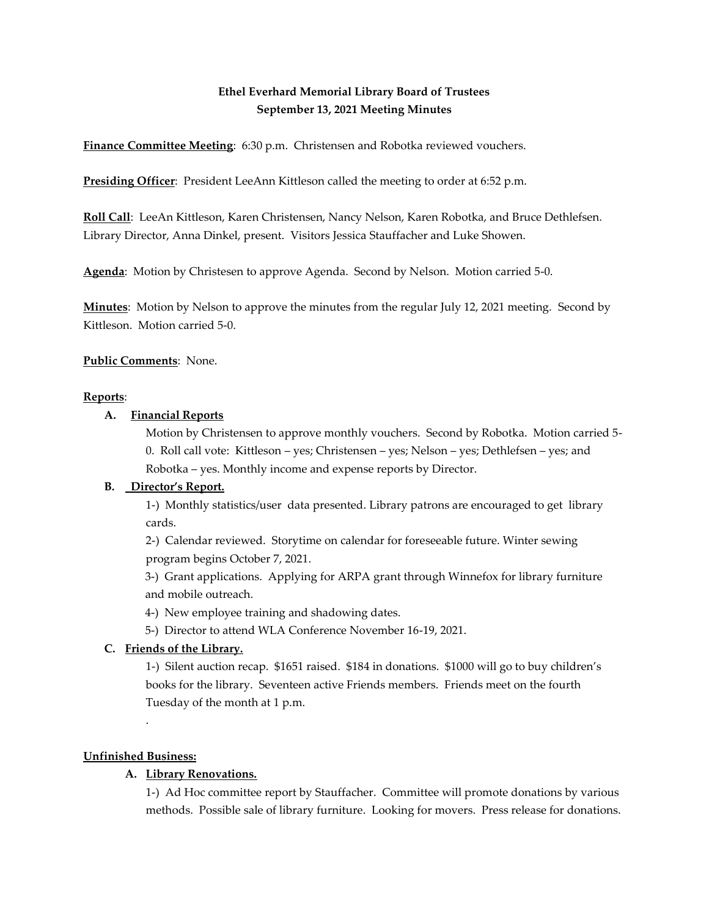# **Ethel Everhard Memorial Library Board of Trustees September 13, 2021 Meeting Minutes**

**Finance Committee Meeting**: 6:30 p.m. Christensen and Robotka reviewed vouchers.

**Presiding Officer**: President LeeAnn Kittleson called the meeting to order at 6:52 p.m.

**Roll Call**: LeeAn Kittleson, Karen Christensen, Nancy Nelson, Karen Robotka, and Bruce Dethlefsen. Library Director, Anna Dinkel, present. Visitors Jessica Stauffacher and Luke Showen.

**Agenda**: Motion by Christesen to approve Agenda. Second by Nelson. Motion carried 5-0.

**Minutes**: Motion by Nelson to approve the minutes from the regular July 12, 2021 meeting. Second by Kittleson. Motion carried 5-0.

**Public Comments**: None.

### **Reports**:

### **A. Financial Reports**

Motion by Christensen to approve monthly vouchers. Second by Robotka. Motion carried 5- 0. Roll call vote: Kittleson – yes; Christensen – yes; Nelson – yes; Dethlefsen – yes; and Robotka – yes. Monthly income and expense reports by Director.

# **B. Director's Report.**

1-) Monthly statistics/user data presented. Library patrons are encouraged to get library cards.

2-) Calendar reviewed. Storytime on calendar for foreseeable future. Winter sewing program begins October 7, 2021.

3-) Grant applications. Applying for ARPA grant through Winnefox for library furniture and mobile outreach.

- 4-) New employee training and shadowing dates.
- 5-) Director to attend WLA Conference November 16-19, 2021.

# **C. Friends of the Library.**

1-) Silent auction recap. \$1651 raised. \$184 in donations. \$1000 will go to buy children's books for the library. Seventeen active Friends members. Friends meet on the fourth Tuesday of the month at 1 p.m.

# **Unfinished Business:**

.

# **A. Library Renovations.**

1-) Ad Hoc committee report by Stauffacher. Committee will promote donations by various methods. Possible sale of library furniture. Looking for movers. Press release for donations.